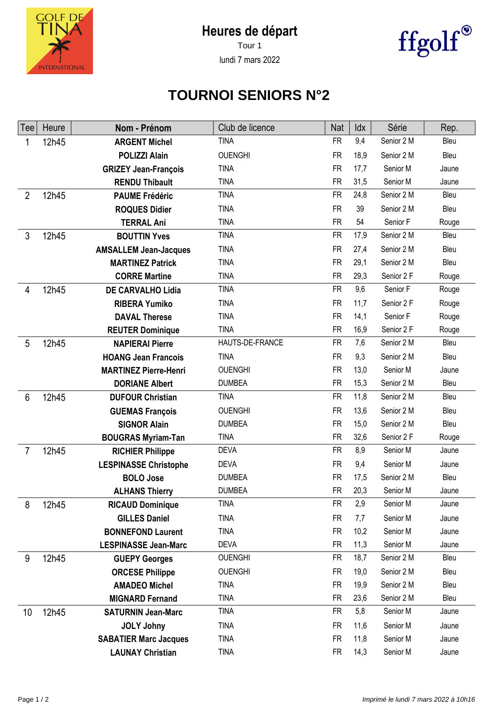



lundi 7 mars 2022



## **TOURNOI SENIORS N°2**

| Tee            | Heure | Nom - Prénom                 | Club de licence | <b>Nat</b> | Idx  | Série      | Rep.  |
|----------------|-------|------------------------------|-----------------|------------|------|------------|-------|
|                | 12h45 | <b>ARGENT Michel</b>         | <b>TINA</b>     | <b>FR</b>  | 9,4  | Senior 2 M | Bleu  |
|                |       | <b>POLIZZI Alain</b>         | <b>OUENGHI</b>  | <b>FR</b>  | 18,9 | Senior 2 M | Bleu  |
|                |       | <b>GRIZEY Jean-François</b>  | <b>TINA</b>     | <b>FR</b>  | 17,7 | Senior M   | Jaune |
|                |       | <b>RENDU Thibault</b>        | <b>TINA</b>     | <b>FR</b>  | 31,5 | Senior M   | Jaune |
| $\overline{2}$ | 12h45 | <b>PAUME Frédéric</b>        | <b>TINA</b>     | <b>FR</b>  | 24,8 | Senior 2 M | Bleu  |
|                |       | <b>ROQUES Didier</b>         | <b>TINA</b>     | <b>FR</b>  | 39   | Senior 2 M | Bleu  |
|                |       | <b>TERRAL Ani</b>            | <b>TINA</b>     | <b>FR</b>  | 54   | Senior F   | Rouge |
| $\mathfrak{Z}$ | 12h45 | <b>BOUTTIN Yves</b>          | <b>TINA</b>     | <b>FR</b>  | 17,9 | Senior 2 M | Bleu  |
|                |       | <b>AMSALLEM Jean-Jacques</b> | <b>TINA</b>     | <b>FR</b>  | 27,4 | Senior 2 M | Bleu  |
|                |       | <b>MARTINEZ Patrick</b>      | <b>TINA</b>     | <b>FR</b>  | 29,1 | Senior 2 M | Bleu  |
|                |       | <b>CORRE Martine</b>         | <b>TINA</b>     | <b>FR</b>  | 29,3 | Senior 2 F | Rouge |
| 4              | 12h45 | <b>DE CARVALHO Lidia</b>     | <b>TINA</b>     | <b>FR</b>  | 9,6  | Senior F   | Rouge |
|                |       | <b>RIBERA Yumiko</b>         | <b>TINA</b>     | <b>FR</b>  | 11,7 | Senior 2 F | Rouge |
|                |       | <b>DAVAL Therese</b>         | <b>TINA</b>     | <b>FR</b>  | 14,1 | Senior F   | Rouge |
|                |       | <b>REUTER Dominique</b>      | <b>TINA</b>     | <b>FR</b>  | 16,9 | Senior 2 F | Rouge |
| 5              | 12h45 | <b>NAPIERAI Pierre</b>       | HAUTS-DE-FRANCE | <b>FR</b>  | 7,6  | Senior 2 M | Bleu  |
|                |       | <b>HOANG Jean Francois</b>   | <b>TINA</b>     | <b>FR</b>  | 9,3  | Senior 2 M | Bleu  |
|                |       | <b>MARTINEZ Pierre-Henri</b> | <b>OUENGHI</b>  | <b>FR</b>  | 13,0 | Senior M   | Jaune |
|                |       | <b>DORIANE Albert</b>        | <b>DUMBEA</b>   | <b>FR</b>  | 15,3 | Senior 2 M | Bleu  |
| 6              | 12h45 | <b>DUFOUR Christian</b>      | <b>TINA</b>     | <b>FR</b>  | 11,8 | Senior 2 M | Bleu  |
|                |       | <b>GUEMAS François</b>       | <b>OUENGHI</b>  | <b>FR</b>  | 13,6 | Senior 2 M | Bleu  |
|                |       | <b>SIGNOR Alain</b>          | <b>DUMBEA</b>   | <b>FR</b>  | 15,0 | Senior 2 M | Bleu  |
|                |       | <b>BOUGRAS Myriam-Tan</b>    | <b>TINA</b>     | <b>FR</b>  | 32,6 | Senior 2 F | Rouge |
| $\overline{7}$ | 12h45 | <b>RICHIER Philippe</b>      | <b>DEVA</b>     | <b>FR</b>  | 8,9  | Senior M   | Jaune |
|                |       | <b>LESPINASSE Christophe</b> | <b>DEVA</b>     | <b>FR</b>  | 9,4  | Senior M   | Jaune |
|                |       | <b>BOLO Jose</b>             | <b>DUMBEA</b>   | <b>FR</b>  | 17,5 | Senior 2 M | Bleu  |
|                |       | <b>ALHANS Thierry</b>        | <b>DUMBEA</b>   | <b>FR</b>  | 20,3 | Senior M   | Jaune |
| 8              | 12h45 | <b>RICAUD Dominique</b>      | <b>TINA</b>     | <b>FR</b>  | 2,9  | Senior M   | Jaune |
|                |       | <b>GILLES Daniel</b>         | <b>TINA</b>     | <b>FR</b>  | 7,7  | Senior M   | Jaune |
|                |       | <b>BONNEFOND Laurent</b>     | <b>TINA</b>     | <b>FR</b>  | 10,2 | Senior M   | Jaune |
|                |       | <b>LESPINASSE Jean-Marc</b>  | <b>DEVA</b>     | <b>FR</b>  | 11,3 | Senior M   | Jaune |
| 9              | 12h45 | <b>GUEPY Georges</b>         | <b>OUENGHI</b>  | <b>FR</b>  | 18,7 | Senior 2 M | Bleu  |
|                |       | <b>ORCESE Philippe</b>       | <b>OUENGHI</b>  | <b>FR</b>  | 19,0 | Senior 2 M | Bleu  |
|                |       | <b>AMADEO Michel</b>         | <b>TINA</b>     | <b>FR</b>  | 19,9 | Senior 2 M | Bleu  |
|                |       | <b>MIGNARD Fernand</b>       | <b>TINA</b>     | <b>FR</b>  | 23,6 | Senior 2 M | Bleu  |
| 10             | 12h45 | <b>SATURNIN Jean-Marc</b>    | <b>TINA</b>     | <b>FR</b>  | 5,8  | Senior M   | Jaune |
|                |       | <b>JOLY Johny</b>            | <b>TINA</b>     | <b>FR</b>  | 11,6 | Senior M   | Jaune |
|                |       | <b>SABATIER Marc Jacques</b> | <b>TINA</b>     | <b>FR</b>  | 11,8 | Senior M   | Jaune |
|                |       | <b>LAUNAY Christian</b>      | <b>TINA</b>     | <b>FR</b>  | 14,3 | Senior M   | Jaune |